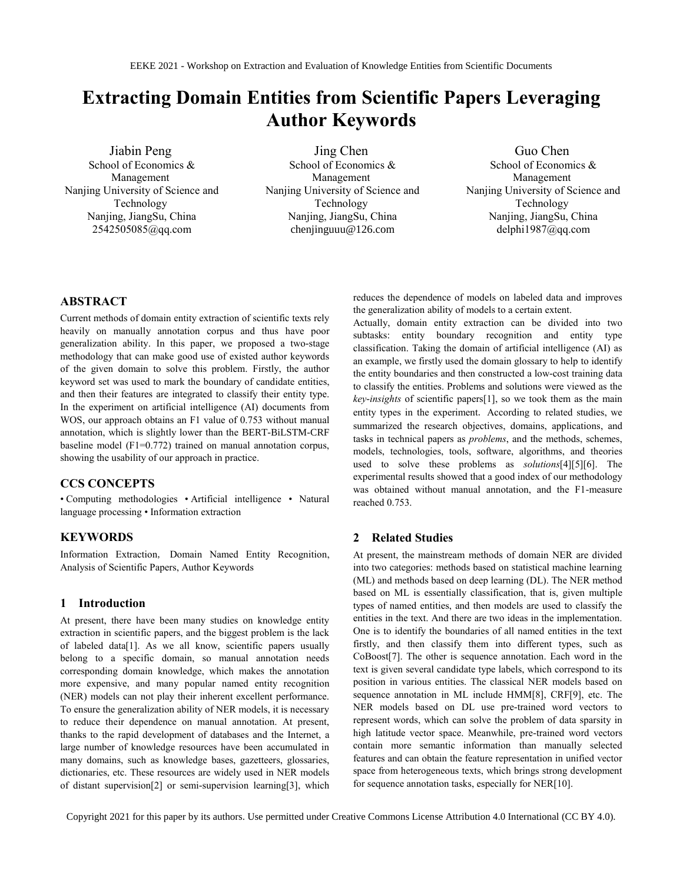# **Extracting Domain Entities from Scientific Papers Leveraging Author Keywords**

Jiabin Peng School of Economics & Management Nanjing University of Science and Technology Nanjing, JiangSu, China 2542505085@qq.com

Jing Chen School of Economics & Management Nanjing University of Science and Technology Nanjing, JiangSu, China chenjinguuu@126.com

Guo Chen School of Economics & Management Nanjing University of Science and Technology Nanjing, JiangSu, China delphi1987@qq.com

## **ABSTRACT**

Current methods of domain entity extraction of scientific texts rely heavily on manually annotation corpus and thus have poor generalization ability. In this paper, we proposed a two-stage methodology that can make good use of existed author keywords of the given domain to solve this problem. Firstly, the author keyword set was used to mark the boundary of candidate entities, and then their features are integrated to classify their entity type. In the experiment on artificial intelligence (AI) documents from WOS, our approach obtains an F1 value of 0.753 without manual annotation, which is slightly lower than the BERT-BiLSTM-CRF baseline model (F1=0.772) trained on manual annotation corpus, showing the usability of our approach in practice.

#### **CCS CONCEPTS**

• Computing methodologies • Artificial intelligence • Natural language processing • Information extraction

## **KEYWORDS**

Information Extraction, Domain Named Entity Recognition, Analysis of Scientific Papers, Author Keywords

#### **1 Introduction**

At present, there have been many studies on knowledge entity extraction in scientific papers, and the biggest problem is the lack of labeled dat[a\[1\].](#page-4-0) As we all know, scientific papers usually belong to a specific domain, so manual annotation needs corresponding domain knowledge, which makes the annotation more expensive, and many popular named entity recognition (NER) models can not play their inherent excellent performance. To ensure the generalization ability of NER models, it is necessary to reduce their dependence on manual annotation. At present, thanks to the rapid development of databases and the Internet, a large number of knowledge resources have been accumulated in many domains, such as knowledge bases, gazetteers, glossaries, dictionaries, etc. These resources are widely used in NER models of distant supervisio[n\[2\]](#page-4-1) or semi-supervision learnin[g\[3\],](#page-4-2) which reduces the dependence of models on labeled data and improves the generalization ability of models to a certain extent.

Actually, domain entity extraction can be divided into two subtasks: entity boundary recognition and entity type classification. Taking the domain of artificial intelligence (AI) as an example, we firstly used the domain glossary to help to identify the entity boundaries and then constructed a low-cost training data to classify the entities. Problems and solutions were viewed as the *key-insights* of scientific papers[1], so we took them as the main entity types in the experiment. According to related studies, we summarized the research objectives, domains, applications, and tasks in technical papers as *problems*, and the methods, schemes, models, technologies, tools, software, algorithms, and theories used to solve these problems as *solutions*[\[4\]\[5\]](#page-4-3)[\[6\].](#page-4-4) The experimental results showed that a good index of our methodology was obtained without manual annotation, and the F1-measure reached 0.753.

#### **2 Related Studies**

At present, the mainstream methods of domain NER are divided into two categories: methods based on statistical machine learning (ML) and methods based on deep learning (DL). The NER method based on ML is essentially classification, that is, given multiple types of named entities, and then models are used to classify the entities in the text. And there are two ideas in the implementation. One is to identify the boundaries of all named entities in the text firstly, and then classify them into different types, such as CoBoos[t\[7\].](#page-4-5) The other is sequence annotation. Each word in the text is given several candidate type labels, which correspond to its position in various entities. The classical NER models based on sequence annotation in ML include HM[M\[8\],](#page-4-6) CR[F\[9\],](#page-4-7) etc. The NER models based on DL use pre-trained word vectors to represent words, which can solve the problem of data sparsity in high latitude vector space. Meanwhile, pre-trained word vectors contain more semantic information than manually selected features and can obtain the feature representation in unified vector space from heterogeneous texts, which brings strong development for sequence annotation tasks, especially for NE[R\[10\].](#page-4-8)

Copyright 2021 for this paper by its authors. Use permitted under Creative Commons License Attribution 4.0 International (CC BY 4.0).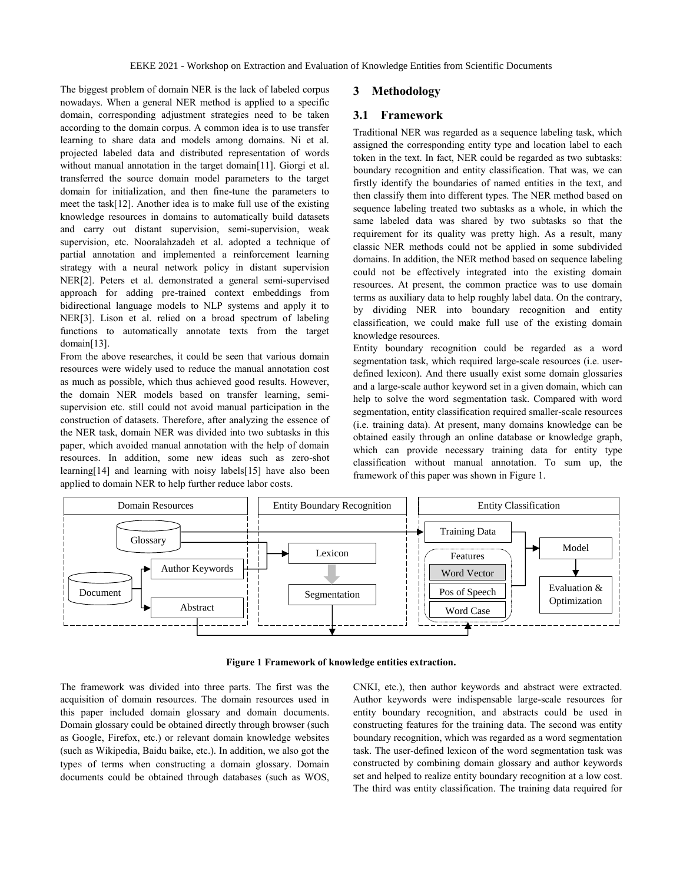The biggest problem of domain NER is the lack of labeled corpus nowadays. When a general NER method is applied to a specific domain, corresponding adjustment strategies need to be taken according to the domain corpus. A common idea is to use transfer learning to share data and models among domains. Ni et al. projected labeled data and distributed representation of words without manual annotation in the target domai[n\[11\].](#page-4-9) Giorgi et al. transferred the source domain model parameters to the target domain for initialization, and then fine-tune the parameters to meet the tas[k\[12\].](#page-4-10) Another idea is to make full use of the existing knowledge resources in domains to automatically build datasets and carry out distant supervision, semi-supervision, weak supervision, etc. Nooralahzadeh et al. adopted a technique of partial annotation and implemented a reinforcement learning strategy with a neural network policy in distant supervision NE[R\[2\].](#page-4-1) Peters et al. demonstrated a general semi-supervised approach for adding pre-trained context embeddings from bidirectional language models to NLP systems and apply it to NE[R\[3\].](#page-4-2) Lison et al. relied on a broad spectrum of labeling functions to automatically annotate texts from the target domai[n\[13\].](#page-4-11)

From the above researches, it could be seen that various domain resources were widely used to reduce the manual annotation cost as much as possible, which thus achieved good results. However, the domain NER models based on transfer learning, semisupervision etc. still could not avoid manual participation in the construction of datasets. Therefore, after analyzing the essence of the NER task, domain NER was divided into two subtasks in this paper, which avoided manual annotation with the help of domain resources. In addition, some new ideas such as zero-shot learnin[g\[14\]](#page-4-12) and learning with noisy label[s\[15\]](#page-4-13) have also been applied to domain NER to help further reduce labor costs.

#### **3 Methodology**

## **3.1 Framework**

Traditional NER was regarded as a sequence labeling task, which assigned the corresponding entity type and location label to each token in the text. In fact, NER could be regarded as two subtasks: boundary recognition and entity classification. That was, we can firstly identify the boundaries of named entities in the text, and then classify them into different types. The NER method based on sequence labeling treated two subtasks as a whole, in which the same labeled data was shared by two subtasks so that the requirement for its quality was pretty high. As a result, many classic NER methods could not be applied in some subdivided domains. In addition, the NER method based on sequence labeling could not be effectively integrated into the existing domain resources. At present, the common practice was to use domain terms as auxiliary data to help roughly label data. On the contrary, by dividing NER into boundary recognition and entity classification, we could make full use of the existing domain knowledge resources.

Entity boundary recognition could be regarded as a word segmentation task, which required large-scale resources (i.e. userdefined lexicon). And there usually exist some domain glossaries and a large-scale author keyword set in a given domain, which can help to solve the word segmentation task. Compared with word segmentation, entity classification required smaller-scale resources (i.e. training data). At present, many domains knowledge can be obtained easily through an online database or knowledge graph, which can provide necessary training data for entity type classification without manual annotation. To sum up, the framework of this paper was shown in Figure 1.



**Figure 1 Framework of knowledge entities extraction.**

The framework was divided into three parts. The first was the acquisition of domain resources. The domain resources used in this paper included domain glossary and domain documents. Domain glossary could be obtained directly through browser (such as Google, Firefox, etc.) or relevant domain knowledge websites (such as Wikipedia, Baidu baike, etc.). In addition, we also got the types of terms when constructing a domain glossary. Domain documents could be obtained through databases (such as WOS, CNKI, etc.), then author keywords and abstract were extracted. Author keywords were indispensable large-scale resources for entity boundary recognition, and abstracts could be used in constructing features for the training data. The second was entity boundary recognition, which was regarded as a word segmentation task. The user-defined lexicon of the word segmentation task was constructed by combining domain glossary and author keywords set and helped to realize entity boundary recognition at a low cost. The third was entity classification. The training data required for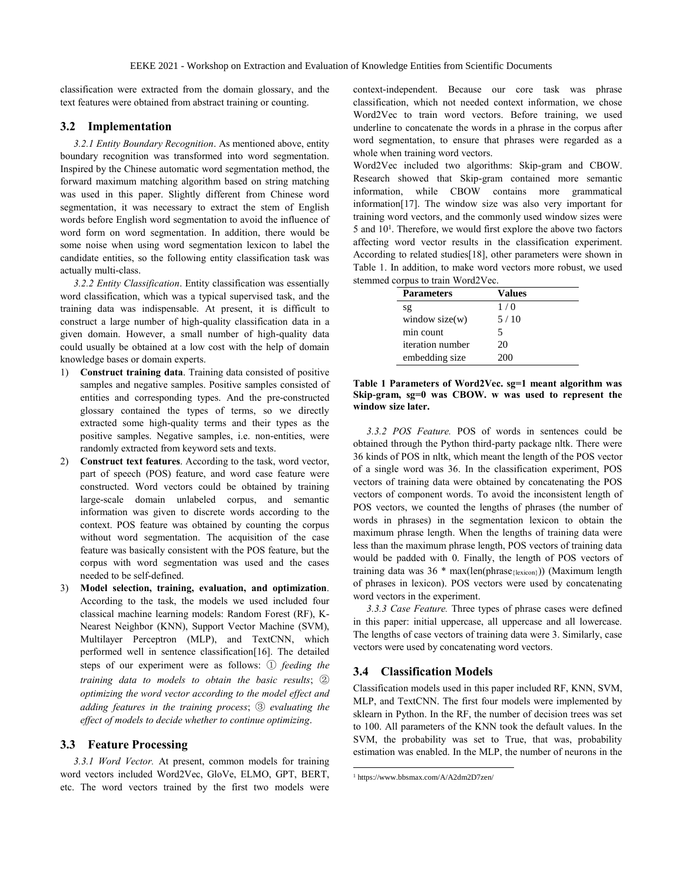classification were extracted from the domain glossary, and the text features were obtained from abstract training or counting.

#### **3.2 Implementation**

*3.2.1 Entity Boundary Recognition*. As mentioned above, entity boundary recognition was transformed into word segmentation. Inspired by the Chinese automatic word segmentation method, the forward maximum matching algorithm based on string matching was used in this paper. Slightly different from Chinese word segmentation, it was necessary to extract the stem of English words before English word segmentation to avoid the influence of word form on word segmentation. In addition, there would be some noise when using word segmentation lexicon to label the candidate entities, so the following entity classification task was actually multi-class.

*3.2.2 Entity Classification*. Entity classification was essentially word classification, which was a typical supervised task, and the training data was indispensable. At present, it is difficult to construct a large number of high-quality classification data in a given domain. However, a small number of high-quality data could usually be obtained at a low cost with the help of domain knowledge bases or domain experts.

- 1) **Construct training data**. Training data consisted of positive samples and negative samples. Positive samples consisted of entities and corresponding types. And the pre-constructed glossary contained the types of terms, so we directly extracted some high-quality terms and their types as the positive samples. Negative samples, i.e. non-entities, were randomly extracted from keyword sets and texts.
- 2) **Construct text features**. According to the task, word vector, part of speech (POS) feature, and word case feature were constructed. Word vectors could be obtained by training large-scale domain unlabeled corpus, and semantic information was given to discrete words according to the context. POS feature was obtained by counting the corpus without word segmentation. The acquisition of the case feature was basically consistent with the POS feature, but the corpus with word segmentation was used and the cases needed to be self-defined.
- 3) **Model selection, training, evaluation, and optimization**. According to the task, the models we used included four classical machine learning models: Random Forest (RF), K-Nearest Neighbor (KNN), Support Vector Machine (SVM), Multilayer Perceptron (MLP), and TextCNN, which performed well in sentence classificatio[n\[16\].](#page-4-14) The detailed steps of our experiment were as follows: ① *feeding the training data to models to obtain the basic results*; ② *optimizing the word vector according to the model effect and adding features in the training process*; ③ *evaluating the effect of models to decide whether to continue optimizing*.

#### **3.3 Feature Processing**

*3.3.1 Word Vector.* At present, common models for training word vectors included Word2Vec, GloVe, ELMO, GPT, BERT, etc. The word vectors trained by the first two models were

context-independent. Because our core task was phrase classification, which not needed context information, we chose Word2Vec to train word vectors. Before training, we used underline to concatenate the words in a phrase in the corpus after word segmentation, to ensure that phrases were regarded as a whole when training word vectors.

Word2Vec included two algorithms: Skip-gram and CBOW. Research showed that Skip-gram contained more semantic information, while CBOW contains more grammatical informatio[n\[17\].](#page-4-15) The window size was also very important for training word vectors, and the commonly used window sizes were 5 and 10<sup>1</sup>. Therefore, we would first explore the above two factors affecting word vector results in the classification experiment. According to related studie[s\[18\],](#page-4-16) other parameters were shown in Table 1. In addition, to make word vectors more robust, we used stemmed corpus to train Word2Vec.

| <b>Parameters</b> | Values |  |  |  |  |
|-------------------|--------|--|--|--|--|
| sg                | 1/0    |  |  |  |  |
| window $size(w)$  | 5/10   |  |  |  |  |
| min count         |        |  |  |  |  |
| iteration number  | 20     |  |  |  |  |
| embedding size    | 200    |  |  |  |  |

**Table 1 Parameters of Word2Vec. sg=1 meant algorithm was Skip-gram, sg=0 was CBOW. w was used to represent the window size later.**

*3.3.2 POS Feature.* POS of words in sentences could be obtained through the Python third-party package nltk. There were 36 kinds of POS in nltk, which meant the length of the POS vector of a single word was 36. In the classification experiment, POS vectors of training data were obtained by concatenating the POS vectors of component words. To avoid the inconsistent length of POS vectors, we counted the lengths of phrases (the number of words in phrases) in the segmentation lexicon to obtain the maximum phrase length. When the lengths of training data were less than the maximum phrase length, POS vectors of training data would be padded with 0. Finally, the length of POS vectors of training data was 36 \* max(len(phrase{lexicon})) (Maximum length of phrases in lexicon). POS vectors were used by concatenating word vectors in the experiment.

*3.3.3 Case Feature.* Three types of phrase cases were defined in this paper: initial uppercase, all uppercase and all lowercase. The lengths of case vectors of training data were 3. Similarly, case vectors were used by concatenating word vectors.

#### **3.4 Classification Models**

Classification models used in this paper included RF, KNN, SVM, MLP, and TextCNN. The first four models were implemented by sklearn in Python. In the RF, the number of decision trees was set to 100. All parameters of the KNN took the default values. In the SVM, the probability was set to True, that was, probability estimation was enabled. In the MLP, the number of neurons in the

 $\overline{a}$ 

<sup>1</sup> https://www.bbsmax.com/A/A2dm2D7zen/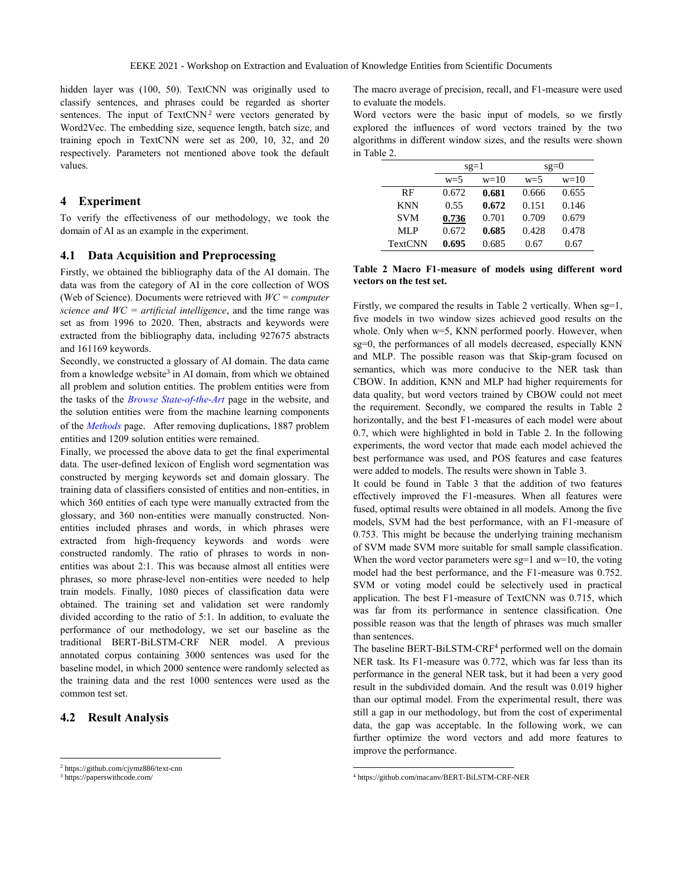hidden layer was (100, 50). TextCNN was originally used to classify sentences, and phrases could be regarded as shorter sentences. The input of  $TextCNN<sup>2</sup>$  were vectors generated by Word2Vec. The embedding size, sequence length, batch size, and training epoch in TextCNN were set as 200, 10, 32, and 20 respectively. Parameters not mentioned above took the default values.

## **4 Experiment**

To verify the effectiveness of our methodology, we took the domain of AI as an example in the experiment.

#### **4.1 Data Acquisition and Preprocessing**

Firstly, we obtained the bibliography data of the AI domain. The data was from the category of AI in the core collection of WOS (Web of Science). Documents were retrieved with *WC = computer science and WC = artificial intelligence*, and the time range was set as from 1996 to 2020. Then, abstracts and keywords were extracted from the bibliography data, including 927675 abstracts and 161169 keywords.

Secondly, we constructed a glossary of AI domain. The data came from a knowledge website<sup>3</sup> in AI domain, from which we obtained all problem and solution entities. The problem entities were from the tasks of the *[Browse State-of-the-Art](https://paperswithcode.com/sota)* page in the website, and the solution entities were from the machine learning components of the *[Methods](https://paperswithcode.com/methods)* page. After removing duplications, 1887 problem entities and 1209 solution entities were remained.

Finally, we processed the above data to get the final experimental data. The user-defined lexicon of English word segmentation was constructed by merging keywords set and domain glossary. The training data of classifiers consisted of entities and non-entities, in which 360 entities of each type were manually extracted from the glossary, and 360 non-entities were manually constructed. Nonentities included phrases and words, in which phrases were extracted from high-frequency keywords and words were constructed randomly. The ratio of phrases to words in nonentities was about 2:1. This was because almost all entities were phrases, so more phrase-level non-entities were needed to help train models. Finally, 1080 pieces of classification data were obtained. The training set and validation set were randomly divided according to the ratio of 5:1. In addition, to evaluate the performance of our methodology, we set our baseline as the traditional BERT-BiLSTM-CRF NER model. A previous annotated corpus containing 3000 sentences was used for the baseline model, in which 2000 sentence were randomly selected as the training data and the rest 1000 sentences were used as the common test set.

### **4.2 Result Analysis**

 $\overline{a}$ 

The macro average of precision, recall, and F1-measure were used to evaluate the models.

Word vectors were the basic input of models, so we firstly explored the influences of word vectors trained by the two algorithms in different window sizes, and the results were shown in Table 2.

|                | $sg=1$ |        | $sg=0$ |        |  |  |
|----------------|--------|--------|--------|--------|--|--|
|                | $w=5$  | $w=10$ | $w=5$  | $w=10$ |  |  |
| <b>RF</b>      | 0.672  | 0.681  | 0.666  | 0.655  |  |  |
| <b>KNN</b>     | 0.55   | 0.672  | 0.151  | 0.146  |  |  |
| <b>SVM</b>     | 0.736  | 0.701  | 0.709  | 0.679  |  |  |
| MLP            | 0.672  | 0.685  | 0.428  | 0.478  |  |  |
| <b>TextCNN</b> | 0.695  | 0.685  | 0.67   | 0.67   |  |  |

**Table 2 Macro F1-measure of models using different word vectors on the test set.**

Firstly, we compared the results in Table 2 vertically. When sg=1, five models in two window sizes achieved good results on the whole. Only when w=5, KNN performed poorly. However, when sg=0, the performances of all models decreased, especially KNN and MLP. The possible reason was that Skip-gram focused on semantics, which was more conducive to the NER task than CBOW. In addition, KNN and MLP had higher requirements for data quality, but word vectors trained by CBOW could not meet the requirement. Secondly, we compared the results in Table 2 horizontally, and the best F1-measures of each model were about 0.7, which were highlighted in bold in Table 2. In the following experiments, the word vector that made each model achieved the best performance was used, and POS features and case features were added to models. The results were shown in Table 3.

It could be found in Table 3 that the addition of two features effectively improved the F1-measures. When all features were fused, optimal results were obtained in all models. Among the five models, SVM had the best performance, with an F1-measure of 0.753. This might be because the underlying training mechanism of SVM made SVM more suitable for small sample classification. When the word vector parameters were  $sg=1$  and  $w=10$ , the voting model had the best performance, and the F1-measure was 0.752. SVM or voting model could be selectively used in practical application. The best F1-measure of TextCNN was 0.715, which was far from its performance in sentence classification. One possible reason was that the length of phrases was much smaller than sentences.

The baseline BERT-BiLSTM-CRF<sup>4</sup> performed well on the domain NER task. Its F1-measure was 0.772, which was far less than its performance in the general NER task, but it had been a very good result in the subdivided domain. And the result was 0.019 higher than our optimal model. From the experimental result, there was still a gap in our methodology, but from the cost of experimental data, the gap was acceptable. In the following work, we can further optimize the word vectors and add more features to improve the performance.

 $\overline{a}$ 

<sup>2</sup> https://github.com/cjymz886/text-cnn

<sup>3</sup> https://paperswithcode.com/

<sup>4</sup> https://github.com/macanv/BERT-BiLSTM-CRF-NER